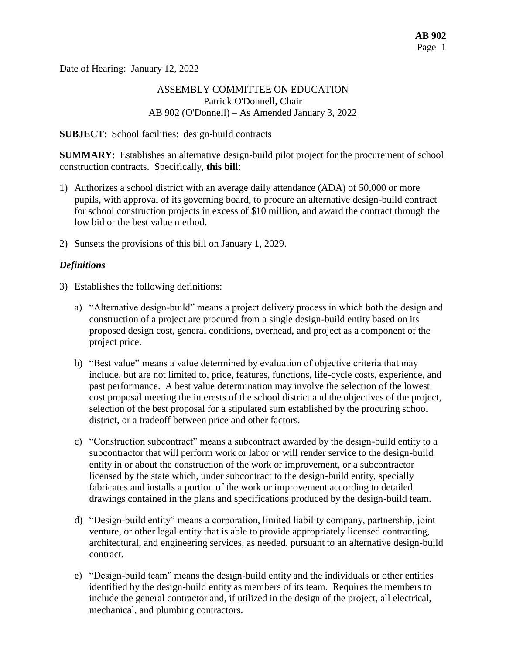Date of Hearing: January 12, 2022

#### ASSEMBLY COMMITTEE ON EDUCATION Patrick O'Donnell, Chair AB 902 (O'Donnell) – As Amended January 3, 2022

#### **SUBJECT**: School facilities: design-build contracts

**SUMMARY**: Establishes an alternative design-build pilot project for the procurement of school construction contracts. Specifically, **this bill**:

- 1) Authorizes a school district with an average daily attendance (ADA) of 50,000 or more pupils, with approval of its governing board, to procure an alternative design-build contract for school construction projects in excess of \$10 million, and award the contract through the low bid or the best value method.
- 2) Sunsets the provisions of this bill on January 1, 2029.

#### *Definitions*

- 3) Establishes the following definitions:
	- a) "Alternative design-build" means a project delivery process in which both the design and construction of a project are procured from a single design-build entity based on its proposed design cost, general conditions, overhead, and project as a component of the project price.
	- b) "Best value" means a value determined by evaluation of objective criteria that may include, but are not limited to, price, features, functions, life-cycle costs, experience, and past performance. A best value determination may involve the selection of the lowest cost proposal meeting the interests of the school district and the objectives of the project, selection of the best proposal for a stipulated sum established by the procuring school district, or a tradeoff between price and other factors.
	- c) "Construction subcontract" means a subcontract awarded by the design-build entity to a subcontractor that will perform work or labor or will render service to the design-build entity in or about the construction of the work or improvement, or a subcontractor licensed by the state which, under subcontract to the design-build entity, specially fabricates and installs a portion of the work or improvement according to detailed drawings contained in the plans and specifications produced by the design-build team.
	- d) "Design-build entity" means a corporation, limited liability company, partnership, joint venture, or other legal entity that is able to provide appropriately licensed contracting, architectural, and engineering services, as needed, pursuant to an alternative design-build contract.
	- e) "Design-build team" means the design-build entity and the individuals or other entities identified by the design-build entity as members of its team. Requires the members to include the general contractor and, if utilized in the design of the project, all electrical, mechanical, and plumbing contractors.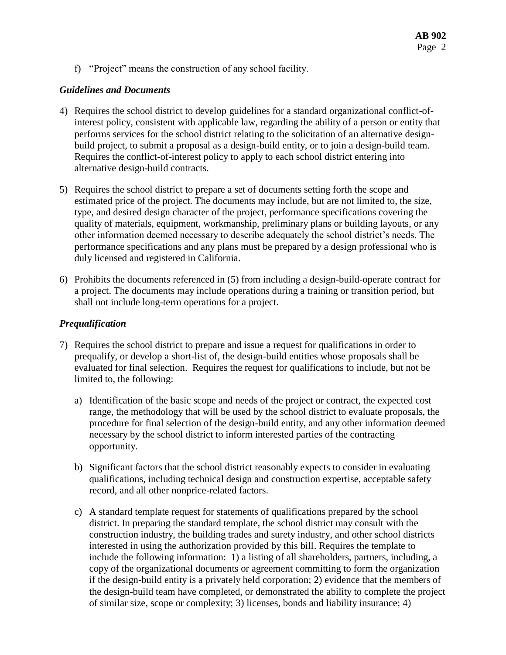f) "Project" means the construction of any school facility.

#### *Guidelines and Documents*

- 4) Requires the school district to develop guidelines for a standard organizational conflict-ofinterest policy, consistent with applicable law, regarding the ability of a person or entity that performs services for the school district relating to the solicitation of an alternative designbuild project, to submit a proposal as a design-build entity, or to join a design-build team. Requires the conflict-of-interest policy to apply to each school district entering into alternative design-build contracts.
- 5) Requires the school district to prepare a set of documents setting forth the scope and estimated price of the project. The documents may include, but are not limited to, the size, type, and desired design character of the project, performance specifications covering the quality of materials, equipment, workmanship, preliminary plans or building layouts, or any other information deemed necessary to describe adequately the school district's needs. The performance specifications and any plans must be prepared by a design professional who is duly licensed and registered in California.
- 6) Prohibits the documents referenced in (5) from including a design-build-operate contract for a project. The documents may include operations during a training or transition period, but shall not include long-term operations for a project.

#### *Prequalification*

- 7) Requires the school district to prepare and issue a request for qualifications in order to prequalify, or develop a short-list of, the design-build entities whose proposals shall be evaluated for final selection. Requires the request for qualifications to include, but not be limited to, the following:
	- a) Identification of the basic scope and needs of the project or contract, the expected cost range, the methodology that will be used by the school district to evaluate proposals, the procedure for final selection of the design-build entity, and any other information deemed necessary by the school district to inform interested parties of the contracting opportunity.
	- b) Significant factors that the school district reasonably expects to consider in evaluating qualifications, including technical design and construction expertise, acceptable safety record, and all other nonprice-related factors.
	- c) A standard template request for statements of qualifications prepared by the school district. In preparing the standard template, the school district may consult with the construction industry, the building trades and surety industry, and other school districts interested in using the authorization provided by this bill. Requires the template to include the following information: 1) a listing of all shareholders, partners, including, a copy of the organizational documents or agreement committing to form the organization if the design-build entity is a privately held corporation; 2) evidence that the members of the design-build team have completed, or demonstrated the ability to complete the project of similar size, scope or complexity; 3) licenses, bonds and liability insurance; 4)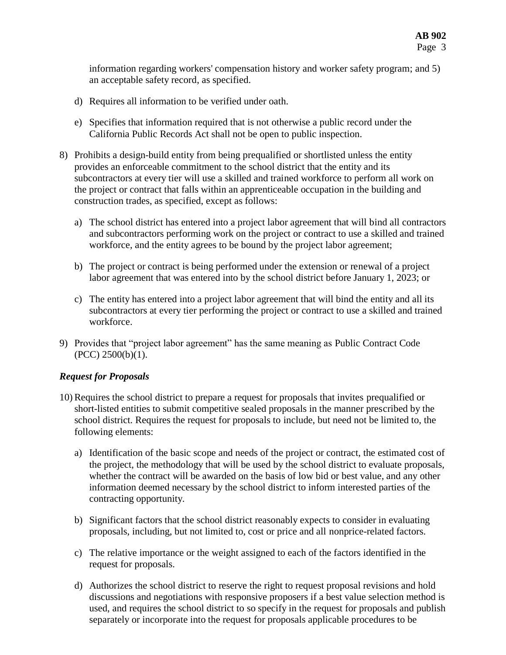information regarding workers' compensation history and worker safety program; and 5) an acceptable safety record, as specified.

- d) Requires all information to be verified under oath.
- e) Specifies that information required that is not otherwise a public record under the California Public Records Act shall not be open to public inspection.
- 8) Prohibits a design-build entity from being prequalified or shortlisted unless the entity provides an enforceable commitment to the school district that the entity and its subcontractors at every tier will use a skilled and trained workforce to perform all work on the project or contract that falls within an apprenticeable occupation in the building and construction trades, as specified, except as follows:
	- a) The school district has entered into a project labor agreement that will bind all contractors and subcontractors performing work on the project or contract to use a skilled and trained workforce, and the entity agrees to be bound by the project labor agreement;
	- b) The project or contract is being performed under the extension or renewal of a project labor agreement that was entered into by the school district before January 1, 2023; or
	- c) The entity has entered into a project labor agreement that will bind the entity and all its subcontractors at every tier performing the project or contract to use a skilled and trained workforce.
- 9) Provides that "project labor agreement" has the same meaning as Public Contract Code (PCC) 2500(b)(1).

#### *Request for Proposals*

- 10) Requires the school district to prepare a request for proposals that invites prequalified or short-listed entities to submit competitive sealed proposals in the manner prescribed by the school district. Requires the request for proposals to include, but need not be limited to, the following elements:
	- a) Identification of the basic scope and needs of the project or contract, the estimated cost of the project, the methodology that will be used by the school district to evaluate proposals, whether the contract will be awarded on the basis of low bid or best value, and any other information deemed necessary by the school district to inform interested parties of the contracting opportunity.
	- b) Significant factors that the school district reasonably expects to consider in evaluating proposals, including, but not limited to, cost or price and all nonprice-related factors.
	- c) The relative importance or the weight assigned to each of the factors identified in the request for proposals.
	- d) Authorizes the school district to reserve the right to request proposal revisions and hold discussions and negotiations with responsive proposers if a best value selection method is used, and requires the school district to so specify in the request for proposals and publish separately or incorporate into the request for proposals applicable procedures to be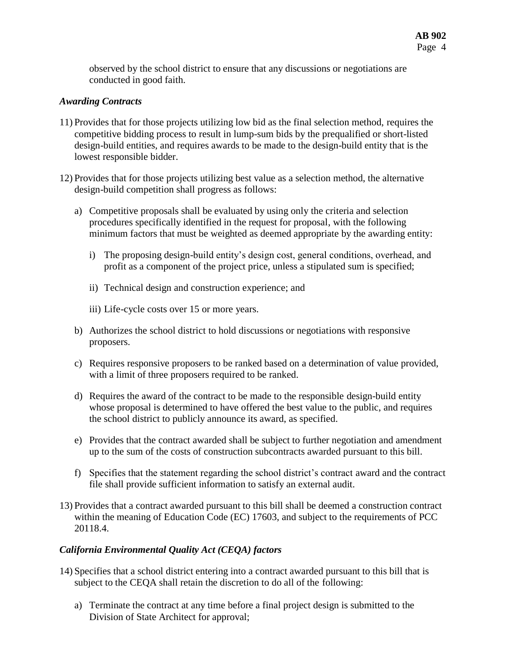observed by the school district to ensure that any discussions or negotiations are conducted in good faith.

#### *Awarding Contracts*

- 11) Provides that for those projects utilizing low bid as the final selection method, requires the competitive bidding process to result in lump-sum bids by the prequalified or short-listed design-build entities, and requires awards to be made to the design-build entity that is the lowest responsible bidder.
- 12) Provides that for those projects utilizing best value as a selection method, the alternative design-build competition shall progress as follows:
	- a) Competitive proposals shall be evaluated by using only the criteria and selection procedures specifically identified in the request for proposal, with the following minimum factors that must be weighted as deemed appropriate by the awarding entity:
		- i) The proposing design-build entity's design cost, general conditions, overhead, and profit as a component of the project price, unless a stipulated sum is specified;
		- ii) Technical design and construction experience; and
		- iii) Life-cycle costs over 15 or more years.
	- b) Authorizes the school district to hold discussions or negotiations with responsive proposers.
	- c) Requires responsive proposers to be ranked based on a determination of value provided, with a limit of three proposers required to be ranked.
	- d) Requires the award of the contract to be made to the responsible design-build entity whose proposal is determined to have offered the best value to the public, and requires the school district to publicly announce its award, as specified.
	- e) Provides that the contract awarded shall be subject to further negotiation and amendment up to the sum of the costs of construction subcontracts awarded pursuant to this bill.
	- f) Specifies that the statement regarding the school district's contract award and the contract file shall provide sufficient information to satisfy an external audit.
- 13) Provides that a contract awarded pursuant to this bill shall be deemed a construction contract within the meaning of Education Code (EC) 17603, and subject to the requirements of PCC 20118.4.

# *California Environmental Quality Act (CEQA) factors*

- 14) Specifies that a school district entering into a contract awarded pursuant to this bill that is subject to the CEQA shall retain the discretion to do all of the following:
	- a) Terminate the contract at any time before a final project design is submitted to the Division of State Architect for approval;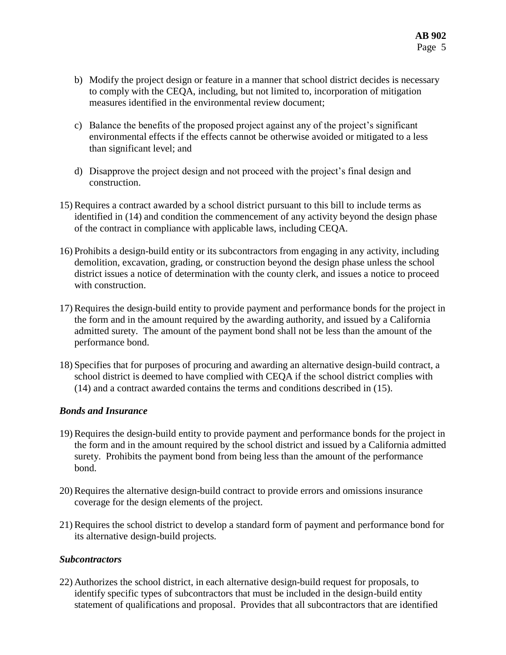- b) Modify the project design or feature in a manner that school district decides is necessary to comply with the CEQA, including, but not limited to, incorporation of mitigation measures identified in the environmental review document;
- c) Balance the benefits of the proposed project against any of the project's significant environmental effects if the effects cannot be otherwise avoided or mitigated to a less than significant level; and
- d) Disapprove the project design and not proceed with the project's final design and construction.
- 15) Requires a contract awarded by a school district pursuant to this bill to include terms as identified in (14) and condition the commencement of any activity beyond the design phase of the contract in compliance with applicable laws, including CEQA.
- 16) Prohibits a design-build entity or its subcontractors from engaging in any activity, including demolition, excavation, grading, or construction beyond the design phase unless the school district issues a notice of determination with the county clerk, and issues a notice to proceed with construction.
- 17) Requires the design-build entity to provide payment and performance bonds for the project in the form and in the amount required by the awarding authority, and issued by a California admitted surety. The amount of the payment bond shall not be less than the amount of the performance bond.
- 18) Specifies that for purposes of procuring and awarding an alternative design-build contract, a school district is deemed to have complied with CEQA if the school district complies with (14) and a contract awarded contains the terms and conditions described in (15).

# *Bonds and Insurance*

- 19) Requires the design-build entity to provide payment and performance bonds for the project in the form and in the amount required by the school district and issued by a California admitted surety. Prohibits the payment bond from being less than the amount of the performance bond.
- 20) Requires the alternative design-build contract to provide errors and omissions insurance coverage for the design elements of the project.
- 21) Requires the school district to develop a standard form of payment and performance bond for its alternative design-build projects.

# *Subcontractors*

22) Authorizes the school district, in each alternative design-build request for proposals, to identify specific types of subcontractors that must be included in the design-build entity statement of qualifications and proposal. Provides that all subcontractors that are identified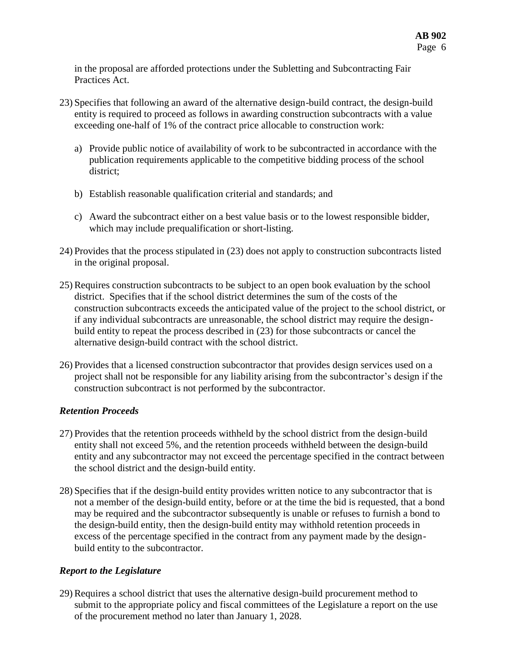in the proposal are afforded protections under the Subletting and Subcontracting Fair Practices Act.

- 23) Specifies that following an award of the alternative design-build contract, the design-build entity is required to proceed as follows in awarding construction subcontracts with a value exceeding one-half of 1% of the contract price allocable to construction work:
	- a) Provide public notice of availability of work to be subcontracted in accordance with the publication requirements applicable to the competitive bidding process of the school district;
	- b) Establish reasonable qualification criterial and standards; and
	- c) Award the subcontract either on a best value basis or to the lowest responsible bidder, which may include prequalification or short-listing.
- 24) Provides that the process stipulated in (23) does not apply to construction subcontracts listed in the original proposal.
- 25) Requires construction subcontracts to be subject to an open book evaluation by the school district. Specifies that if the school district determines the sum of the costs of the construction subcontracts exceeds the anticipated value of the project to the school district, or if any individual subcontracts are unreasonable, the school district may require the designbuild entity to repeat the process described in (23) for those subcontracts or cancel the alternative design-build contract with the school district.
- 26) Provides that a licensed construction subcontractor that provides design services used on a project shall not be responsible for any liability arising from the subcontractor's design if the construction subcontract is not performed by the subcontractor.

# *Retention Proceeds*

- 27) Provides that the retention proceeds withheld by the school district from the design-build entity shall not exceed 5%, and the retention proceeds withheld between the design-build entity and any subcontractor may not exceed the percentage specified in the contract between the school district and the design-build entity.
- 28) Specifies that if the design-build entity provides written notice to any subcontractor that is not a member of the design-build entity, before or at the time the bid is requested, that a bond may be required and the subcontractor subsequently is unable or refuses to furnish a bond to the design-build entity, then the design-build entity may withhold retention proceeds in excess of the percentage specified in the contract from any payment made by the designbuild entity to the subcontractor.

# *Report to the Legislature*

29) Requires a school district that uses the alternative design-build procurement method to submit to the appropriate policy and fiscal committees of the Legislature a report on the use of the procurement method no later than January 1, 2028.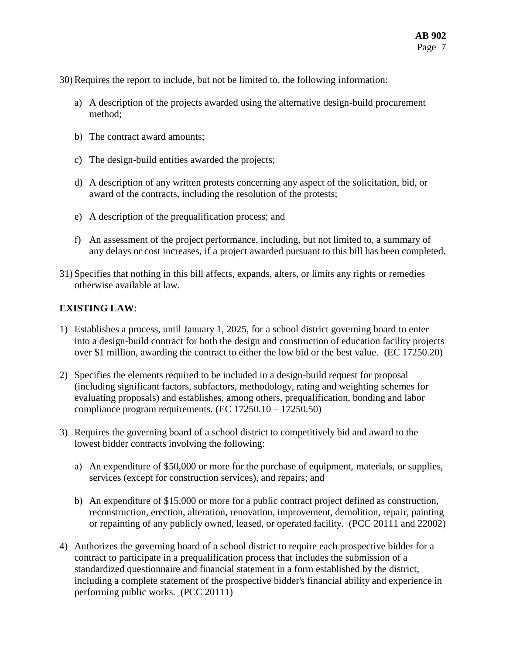30) Requires the report to include, but not be limited to, the following information:

- a) A description of the projects awarded using the alternative design-build procurement method;
- b) The contract award amounts;
- c) The design-build entities awarded the projects;
- d) A description of any written protests concerning any aspect of the solicitation, bid, or award of the contracts, including the resolution of the protests;
- e) A description of the prequalification process; and
- f) An assessment of the project performance, including, but not limited to, a summary of any delays or cost increases, if a project awarded pursuant to this bill has been completed.
- 31) Specifies that nothing in this bill affects, expands, alters, or limits any rights or remedies otherwise available at law.

#### **EXISTING LAW**:

- 1) Establishes a process, until January 1, 2025, for a school district governing board to enter into a design-build contract for both the design and construction of education facility projects over \$1 million, awarding the contract to either the low bid or the best value. (EC 17250.20)
- 2) Specifies the elements required to be included in a design-build request for proposal (including significant factors, subfactors, methodology, rating and weighting schemes for evaluating proposals) and establishes, among others, prequalification, bonding and labor compliance program requirements. (EC 17250.10 – 17250.50)
- 3) Requires the governing board of a school district to competitively bid and award to the lowest bidder contracts involving the following:
	- a) An expenditure of \$50,000 or more for the purchase of equipment, materials, or supplies, services (except for construction services), and repairs; and
	- b) An expenditure of \$15,000 or more for a public contract project defined as construction, reconstruction, erection, alteration, renovation, improvement, demolition, repair, painting or repainting of any publicly owned, leased, or operated facility. (PCC 20111 and 22002)
- 4) Authorizes the governing board of a school district to require each prospective bidder for a contract to participate in a prequalification process that includes the submission of a standardized questionnaire and financial statement in a form established by the district, including a complete statement of the prospective bidder's financial ability and experience in performing public works. (PCC 20111)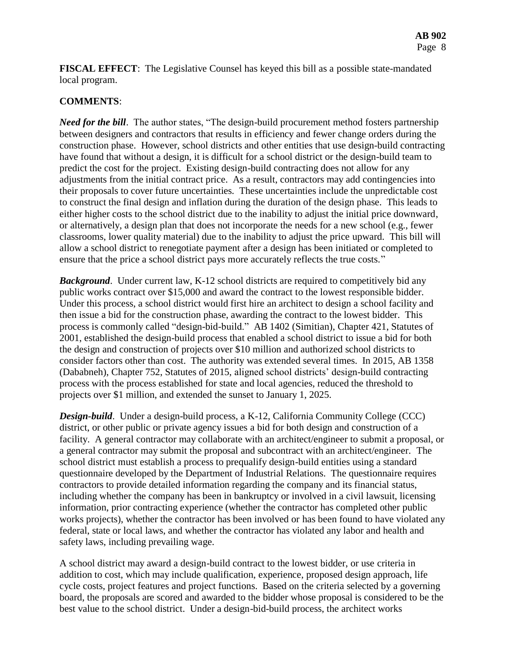**FISCAL EFFECT**: The Legislative Counsel has keyed this bill as a possible state-mandated local program.

#### **COMMENTS**:

*Need for the bill*. The author states, "The design-build procurement method fosters partnership between designers and contractors that results in efficiency and fewer change orders during the construction phase. However, school districts and other entities that use design-build contracting have found that without a design, it is difficult for a school district or the design-build team to predict the cost for the project. Existing design-build contracting does not allow for any adjustments from the initial contract price. As a result, contractors may add contingencies into their proposals to cover future uncertainties. These uncertainties include the unpredictable cost to construct the final design and inflation during the duration of the design phase. This leads to either higher costs to the school district due to the inability to adjust the initial price downward, or alternatively, a design plan that does not incorporate the needs for a new school (e.g., fewer classrooms, lower quality material) due to the inability to adjust the price upward. This bill will allow a school district to renegotiate payment after a design has been initiated or completed to ensure that the price a school district pays more accurately reflects the true costs."

*Background*. Under current law, K-12 school districts are required to competitively bid any public works contract over \$15,000 and award the contract to the lowest responsible bidder. Under this process, a school district would first hire an architect to design a school facility and then issue a bid for the construction phase, awarding the contract to the lowest bidder. This process is commonly called "design-bid-build." AB 1402 (Simitian), Chapter 421, Statutes of 2001, established the design-build process that enabled a school district to issue a bid for both the design and construction of projects over \$10 million and authorized school districts to consider factors other than cost. The authority was extended several times. In 2015, AB 1358 (Dababneh), Chapter 752, Statutes of 2015, aligned school districts' design-build contracting process with the process established for state and local agencies, reduced the threshold to projects over \$1 million, and extended the sunset to January 1, 2025.

*Design-build*. Under a design-build process, a K-12, California Community College (CCC) district, or other public or private agency issues a bid for both design and construction of a facility. A general contractor may collaborate with an architect/engineer to submit a proposal, or a general contractor may submit the proposal and subcontract with an architect/engineer. The school district must establish a process to prequalify design-build entities using a standard questionnaire developed by the Department of Industrial Relations. The questionnaire requires contractors to provide detailed information regarding the company and its financial status, including whether the company has been in bankruptcy or involved in a civil lawsuit, licensing information, prior contracting experience (whether the contractor has completed other public works projects), whether the contractor has been involved or has been found to have violated any federal, state or local laws, and whether the contractor has violated any labor and health and safety laws, including prevailing wage.

A school district may award a design-build contract to the lowest bidder, or use criteria in addition to cost, which may include qualification, experience, proposed design approach, life cycle costs, project features and project functions. Based on the criteria selected by a governing board, the proposals are scored and awarded to the bidder whose proposal is considered to be the best value to the school district. Under a design-bid-build process, the architect works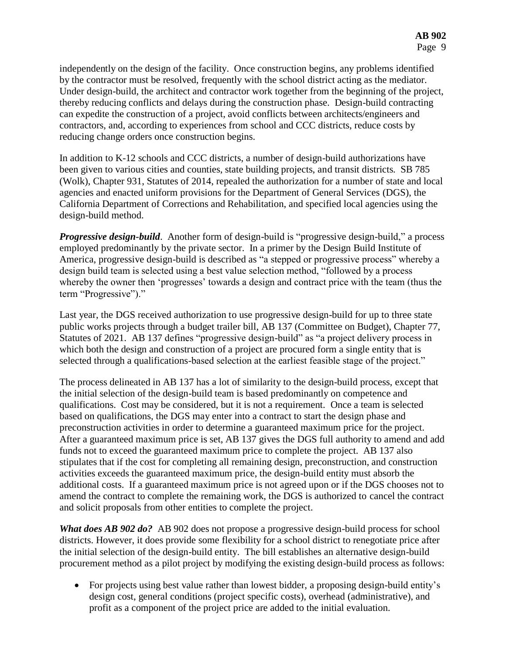independently on the design of the facility. Once construction begins, any problems identified by the contractor must be resolved, frequently with the school district acting as the mediator. Under design-build, the architect and contractor work together from the beginning of the project, thereby reducing conflicts and delays during the construction phase. Design-build contracting can expedite the construction of a project, avoid conflicts between architects/engineers and contractors, and, according to experiences from school and CCC districts, reduce costs by reducing change orders once construction begins.

In addition to K-12 schools and CCC districts, a number of design-build authorizations have been given to various cities and counties, state building projects, and transit districts. SB 785 (Wolk), Chapter 931, Statutes of 2014, repealed the authorization for a number of state and local agencies and enacted uniform provisions for the Department of General Services (DGS), the California Department of Corrections and Rehabilitation, and specified local agencies using the design-build method.

*Progressive design-build.* Another form of design-build is "progressive design-build," a process employed predominantly by the private sector. In a primer by the Design Build Institute of America, progressive design-build is described as "a stepped or progressive process" whereby a design build team is selected using a best value selection method, "followed by a process whereby the owner then 'progresses' towards a design and contract price with the team (thus the term "Progressive")."

Last year, the DGS received authorization to use progressive design-build for up to three state public works projects through a budget trailer bill, AB 137 (Committee on Budget), Chapter 77, Statutes of 2021. AB 137 defines "progressive design-build" as "a project delivery process in which both the design and construction of a project are procured form a single entity that is selected through a qualifications-based selection at the earliest feasible stage of the project."

The process delineated in AB 137 has a lot of similarity to the design-build process, except that the initial selection of the design-build team is based predominantly on competence and qualifications. Cost may be considered, but it is not a requirement. Once a team is selected based on qualifications, the DGS may enter into a contract to start the design phase and preconstruction activities in order to determine a guaranteed maximum price for the project. After a guaranteed maximum price is set, AB 137 gives the DGS full authority to amend and add funds not to exceed the guaranteed maximum price to complete the project. AB 137 also stipulates that if the cost for completing all remaining design, preconstruction, and construction activities exceeds the guaranteed maximum price, the design-build entity must absorb the additional costs. If a guaranteed maximum price is not agreed upon or if the DGS chooses not to amend the contract to complete the remaining work, the DGS is authorized to cancel the contract and solicit proposals from other entities to complete the project.

*What does AB 902 do?* AB 902 does not propose a progressive design-build process for school districts. However, it does provide some flexibility for a school district to renegotiate price after the initial selection of the design-build entity. The bill establishes an alternative design-build procurement method as a pilot project by modifying the existing design-build process as follows:

 For projects using best value rather than lowest bidder, a proposing design-build entity's design cost, general conditions (project specific costs), overhead (administrative), and profit as a component of the project price are added to the initial evaluation.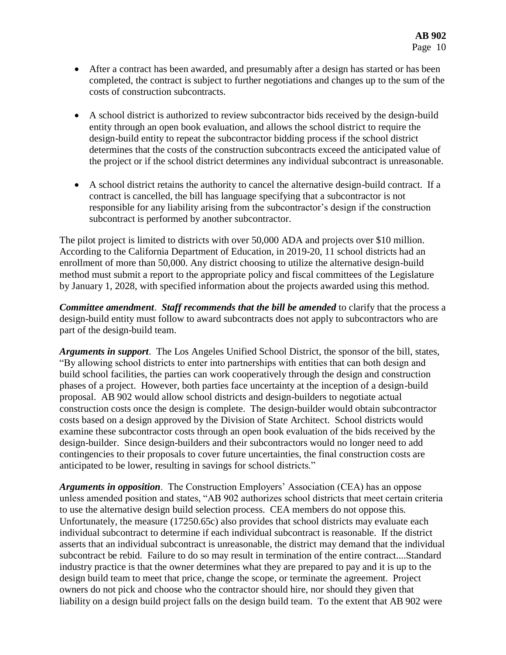- After a contract has been awarded, and presumably after a design has started or has been completed, the contract is subject to further negotiations and changes up to the sum of the costs of construction subcontracts.
- A school district is authorized to review subcontractor bids received by the design-build entity through an open book evaluation, and allows the school district to require the design-build entity to repeat the subcontractor bidding process if the school district determines that the costs of the construction subcontracts exceed the anticipated value of the project or if the school district determines any individual subcontract is unreasonable.
- A school district retains the authority to cancel the alternative design-build contract. If a contract is cancelled, the bill has language specifying that a subcontractor is not responsible for any liability arising from the subcontractor's design if the construction subcontract is performed by another subcontractor.

The pilot project is limited to districts with over 50,000 ADA and projects over \$10 million. According to the California Department of Education, in 2019-20, 11 school districts had an enrollment of more than 50,000. Any district choosing to utilize the alternative design-build method must submit a report to the appropriate policy and fiscal committees of the Legislature by January 1, 2028, with specified information about the projects awarded using this method.

*Committee amendment*. *Staff recommends that the bill be amended* to clarify that the process a design-build entity must follow to award subcontracts does not apply to subcontractors who are part of the design-build team.

*Arguments in support*. The Los Angeles Unified School District, the sponsor of the bill, states, "By allowing school districts to enter into partnerships with entities that can both design and build school facilities, the parties can work cooperatively through the design and construction phases of a project. However, both parties face uncertainty at the inception of a design-build proposal. AB 902 would allow school districts and design-builders to negotiate actual construction costs once the design is complete. The design-builder would obtain subcontractor costs based on a design approved by the Division of State Architect. School districts would examine these subcontractor costs through an open book evaluation of the bids received by the design-builder. Since design-builders and their subcontractors would no longer need to add contingencies to their proposals to cover future uncertainties, the final construction costs are anticipated to be lower, resulting in savings for school districts."

*Arguments in opposition*. The Construction Employers' Association (CEA) has an oppose unless amended position and states, "AB 902 authorizes school districts that meet certain criteria to use the alternative design build selection process. CEA members do not oppose this. Unfortunately, the measure (17250.65c) also provides that school districts may evaluate each individual subcontract to determine if each individual subcontract is reasonable. If the district asserts that an individual subcontract is unreasonable, the district may demand that the individual subcontract be rebid. Failure to do so may result in termination of the entire contract....Standard industry practice is that the owner determines what they are prepared to pay and it is up to the design build team to meet that price, change the scope, or terminate the agreement. Project owners do not pick and choose who the contractor should hire, nor should they given that liability on a design build project falls on the design build team. To the extent that AB 902 were